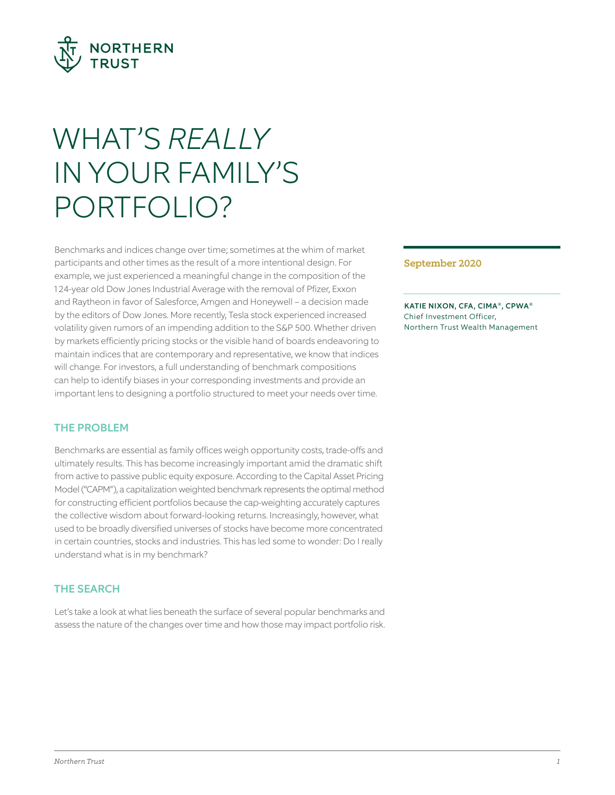

# WHAT'S *REALLY* IN YOUR FAMILY'S PORTFOLIO?

Benchmarks and indices change over time; sometimes at the whim of market participants and other times as the result of a more intentional design. For example, we just experienced a meaningful change in the composition of the 124-year old Dow Jones Industrial Average with the removal of Pfizer, Exxon and Raytheon in favor of Salesforce, Amgen and Honeywell – a decision made by the editors of Dow Jones. More recently, Tesla stock experienced increased volatility given rumors of an impending addition to the S&P 500. Whether driven by markets efficiently pricing stocks or the visible hand of boards endeavoring to maintain indices that are contemporary and representative, we know that indices will change. For investors, a full understanding of benchmark compositions can help to identify biases in your corresponding investments and provide an important lens to designing a portfolio structured to meet your needs over time.

# THE PROBLEM

Benchmarks are essential as family offices weigh opportunity costs, trade-offs and ultimately results. This has become increasingly important amid the dramatic shift from active to passive public equity exposure. According to the Capital Asset Pricing Model ("CAPM"), a capitalization weighted benchmark represents the optimal method for constructing efficient portfolios because the cap-weighting accurately captures the collective wisdom about forward-looking returns. Increasingly, however, what used to be broadly diversifed universes of stocks have become more concentrated in certain countries, stocks and industries. This has led some to wonder: Do I really understand what is in my benchmark?

# THE SEARCH

Let's take a look at what lies beneath the surface of several popular benchmarks and assess the nature of the changes over time and how those may impact portfolio risk.

#### September 2020

KATIE NIXON, CFA, CIMA®, CPWA® Chief Investment Officer, Northern Trust Wealth Management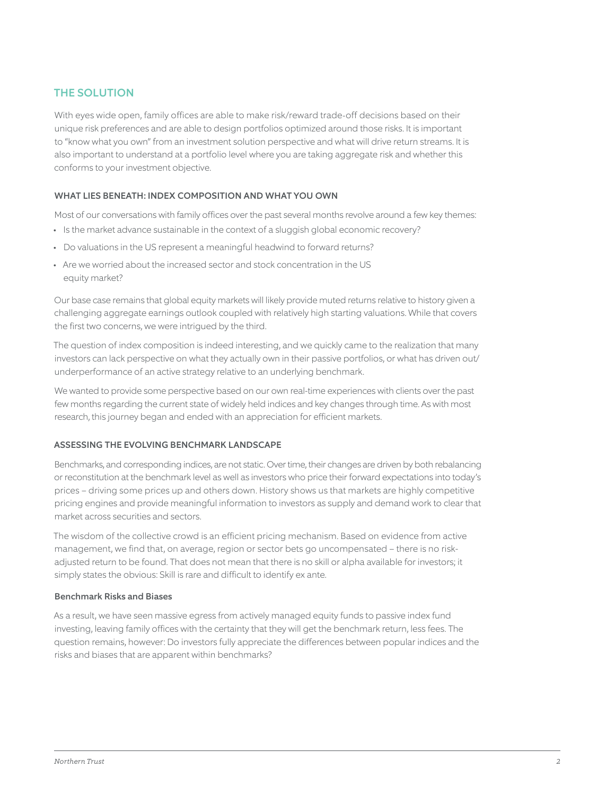# THE SOLUTION

With eyes wide open, family offices are able to make risk/reward trade-off decisions based on their unique risk preferences and are able to design portfolios optimized around those risks. It is important to "know what you own" from an investment solution perspective and what will drive return streams. It is also important to understand at a portfolio level where you are taking aggregate risk and whether this conforms to your investment objective.

### WHAT LIES BENEATH: INDEX COMPOSITION AND WHAT YOU OWN

Most of our conversations with family offices over the past several months revolve around a few key themes:

- Is the market advance sustainable in the context of a sluggish global economic recovery?
- Do valuations in the US represent a meaningful headwind to forward returns?
- Are we worried about the increased sector and stock concentration in the US equity market?

Our base case remains that global equity markets will likely provide muted returns relative to history given a challenging aggregate earnings outlook coupled with relatively high starting valuations. While that covers the first two concerns, we were intrigued by the third.

The question of index composition is indeed interesting, and we quickly came to the realization that many investors can lack perspective on what they actually own in their passive portfolios, or what has driven out/ underperformance of an active strategy relative to an underlying benchmark.

 few months regarding the current state of widely held indices and key changes through time. As with most We wanted to provide some perspective based on our own real-time experiences with clients over the past research, this journey began and ended with an appreciation for efficient markets.

#### ASSESSING THE EVOLVING BENCHMARK LANDSCAPE

Benchmarks, and corresponding indices, are not static. Over time, their changes are driven by both rebalancing or reconstitution at the benchmark level as well as investors who price their forward expectations into today 's prices – driving some prices up and others down. History shows us that markets are highly competitive pricing engines and provide meaningful information to investors as supply and demand work to clear that market across securities and sectors.

The wisdom of the collective crowd is an efficient pricing mechanism. Based on evidence from active management, we fnd that, on average, region or sector bets go uncompensated – there is no riskadjusted return to be found. That does not mean that there is no skill or alpha available for investors; it simply states the obvious: Skill is rare and difficult to identify ex ante.

#### Benchmark Risks and Biases

As a result, we have seen massive egress from actively managed equity funds to passive index fund investing, leaving family offices with the certainty that they will get the benchmark return, less fees. The question remains, however: Do investors fully appreciate the diferences between popular indices and the risks and biases that are apparent within benchmarks?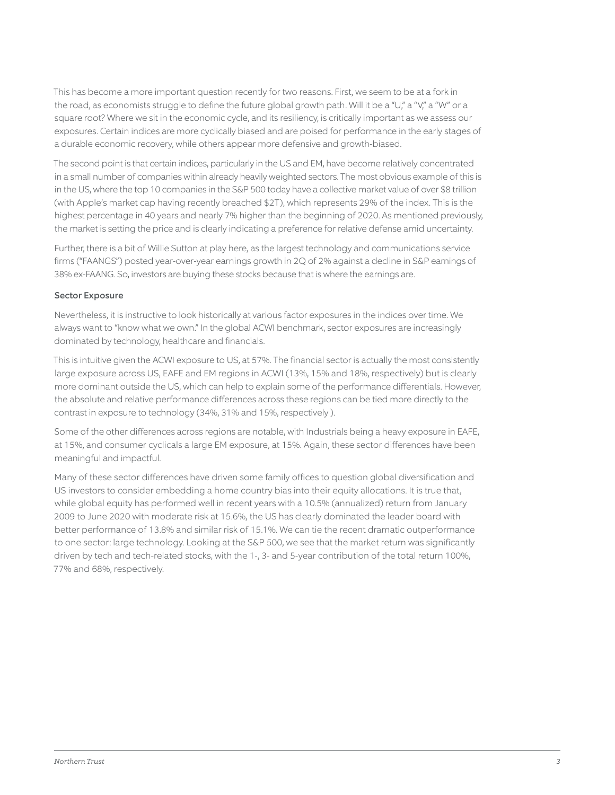This has become a more important question recently for two reasons. First, we seem to be at a fork in the road, as economists struggle to define the future global growth path. Will it be a "U," a "V," a "W" or a square root? Where we sit in the economic cycle, and its resiliency, is critically important as we assess our exposures. Certain indices are more cyclically biased and are poised for performance in the early stages of a durable economic recovery, while others appear more defensive and growth-biased.

The second point is that certain indices, particularly in the US and EM, have become relatively concentrated in a small number of companies within already heavily weighted sectors. The most obvious example of this is in the US, where the top 10 companies in the S&P 500 today have a collective market value of over \$8 trillion (with Apple's market cap having recently breached \$2T), which represents 29% of the index. This is the highest percentage in 40 years and nearly 7% higher than the beginning of 2020. As mentioned previously, the market is setting the price and is clearly indicating a preference for relative defense amid uncertainty.

 frms ("FAANGS") posted year-over-year earnings growth in 2Q of 2% against a decline in S&P earnings of Further, there is a bit of Willie Sutton at play here, as the largest technology and communications service 38% ex-FAANG. So, investors are buying these stocks because that is where the earnings are.

### Sector Exposure

Nevertheless, it is instructive to look historically at various factor exposures in the indices over time. We always want to "know what we own." In the global ACWI benchmark, sector exposures are increasingly dominated by technology, healthcare and fnancials.

This is intuitive given the ACWI exposure to US, at 57%. The financial sector is actually the most consistently large exposure across US, EAFE and EM regions in ACWI (13%, 15% and 18%, respectively) but is clearly more dominant outside the US, which can help to explain some of the performance diferentials. However, the absolute and relative performance diferences across these regions can be tied more directly to the contrast in exposure to technology (34%, 31% and 15%, respectively ).

Some of the other diferences across regions are notable, with Industrials being a heavy exposure in EAFE, at 15%, and consumer cyclicals a large EM exposure, at 15%. Again, these sector diferences have been meaningful and impactful.

Many of these sector differences have driven some family offices to question global diversification and US investors to consider embedding a home country bias into their equity allocations. It is true that, while global equity has performed well in recent years with a 10.5% (annualized) return from January 2009 to June 2020 with moderate risk at 15.6%, the US has clearly dominated the leader board with better performance of 13.8% and similar risk of 15.1%. We can tie the recent dramatic outperformance to one sector: large technology. Looking at the S&P 500, we see that the market return was signifcantly driven by tech and tech-related stocks, with the 1-, 3- and 5-year contribution of the total return 100%, 77% and 68%, respectively.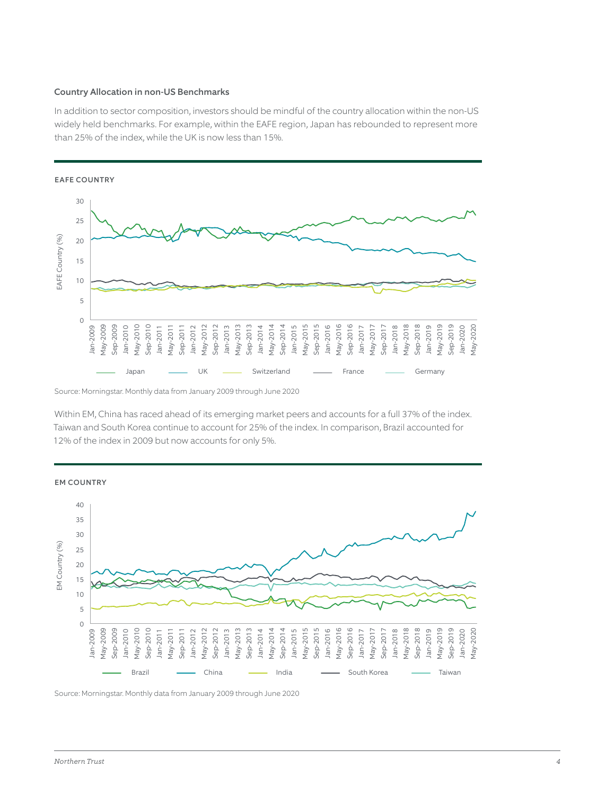#### Country Allocation in non-US Benchmarks

In addition to sector composition, investors should be mindful of the country allocation within the non-US widely held benchmarks. For example, within the EAFE region, Japan has rebounded to represent more than 25% of the index, while the UK is now less than 15%.



Source: Morningstar. Monthly data from January 2009 through June 2020

Within EM, China has raced ahead of its emerging market peers and accounts for a full 37% of the index. Taiwan and South Korea continue to account for 25% of the index. In comparison, Brazil accounted for 12% of the index in 2009 but now accounts for only 5%.

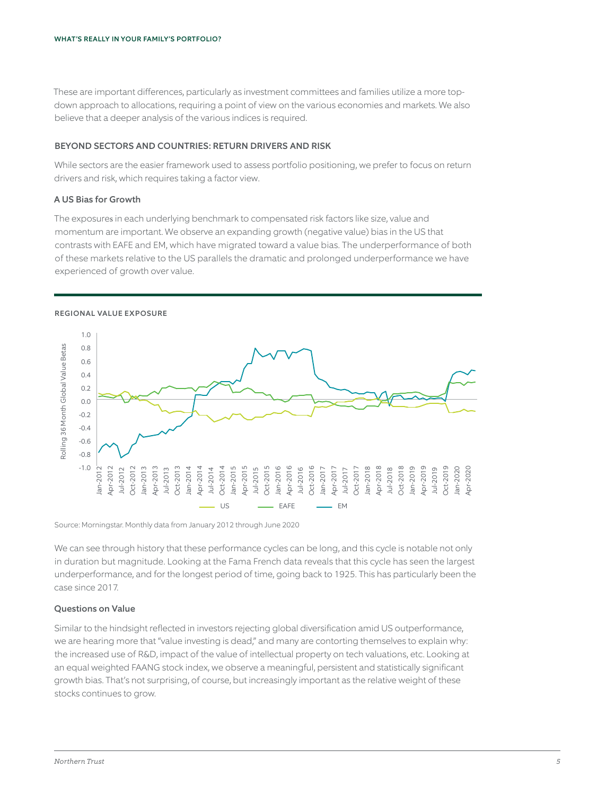These are important diferences, particularly as investment committees and families utilize a more topdown approach to allocations, requiring a point of view on the various economies and markets. We also believe that a deeper analysis of the various indices is required.

#### BEYOND SECTORS AND COUNTRIES: RETURN DRIVERS AND RISK

While sectors are the easier framework used to assess portfolio positioning, we prefer to focus on return drivers and risk, which requires taking a factor view.

#### A US Bias for Growth

The exposures in each underlying benchmark to compensated risk factors like size, value and momentum are important. We observe an expanding growth (negative value) bias in the US that contrasts with EAFE and EM, which have migrated toward a value bias. The underperformance of both of these markets relative to the US parallels the dramatic and prolonged underperformance we have experienced of growth over value.

#### REGIONAL VALUE EXPOSURE



Source: Morningstar. Monthly data from January 2012 through June 2020

We can see through history that these performance cycles can be long, and this cycle is notable not only in duration but magnitude. Looking at the Fama French data reveals that this cycle has seen the largest underperformance, and for the longest period of time, going back to 1925. This has particularly been the case since 2017.

#### Questions on Value

Similar to the hindsight refected in investors rejecting global diversifcation amid US outperformance, we are hearing more that "value investing is dead," and many are contorting themselves to explain why: the increased use of R&D, impact of the value of intellectual property on tech valuations, etc. Looking at an equal weighted FAANG stock index, we observe a meaningful, persistent and statistically signifcant growth bias. That's not surprising, of course, but increasingly important as the relative weight of these stocks continues to grow.